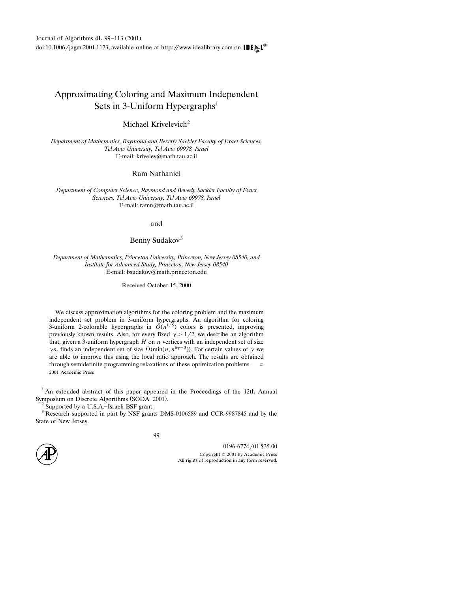# Approximating Coloring and Maximum Independent Sets in 3-Uniform Hypergraphs<sup>1</sup>

Michael Krivelevich<sup>2</sup>

Department of Mathematics, Raymond and Beverly Sackler Faculty of Exact Sciences, *Tel A*-*i*- *Uni*-*ersity, Tel A*-*i*- *69978, Israel* E-mail: krivelev@math.tau.ac.il

Ram Nathaniel

Department of Computer Science, Raymond and Beverly Sackler Faculty of Exact *Sciences, Tel A*-*i*- *Uni*-*ersity, Tel A*-*i*- *69978, Israel* E-mail: ramn@math.tau.ac.il

and

Benny Sudakov<sup>3</sup>

Department of Mathematics, Princeton University, Princeton, New Jersey 08540, and Institute for Advanced Study, Princeton, New Jersey 08540 E-mail: bsudakov@math.princeton.edu

Received October 15, 2000

We discuss approximation algorithms for the coloring problem and the maximum independent set problem in 3-uniform hypergraphs. An algorithm for coloring 3-uniform 2-colorable hypergraphs in  $\tilde{O}(n^{1/5})$  colors is presented, improving previously known results. Also, for every fixed  $\gamma > 1/2$ , we describe an algorithm that, given a 3-uniform hypergraph *H* on *n* vertices with an independent set of size  $\gamma n$ , finds an independent set of size  $\tilde{\Omega}$ (min(*n*,  $n^{6\gamma-3}$ )). For certain values of  $\gamma$  we are able to improve this using the local ratio approach. The results are obtained through semidefinite programming relaxations of these optimization problems. 2001 Academic Press

<sup>1</sup> An extended abstract of this paper appeared in the Proceedings of the 12th Annual Symposium on Discrete Algorithms (SODA '2001).<br>
<sup>2</sup> Supported by a U.S.A.–Israeli BSF grant.<br>
<sup>3</sup> Research supported in part by NSF grants DMS-0106589 and CCR-9987845 and by the

State of New Jersey.

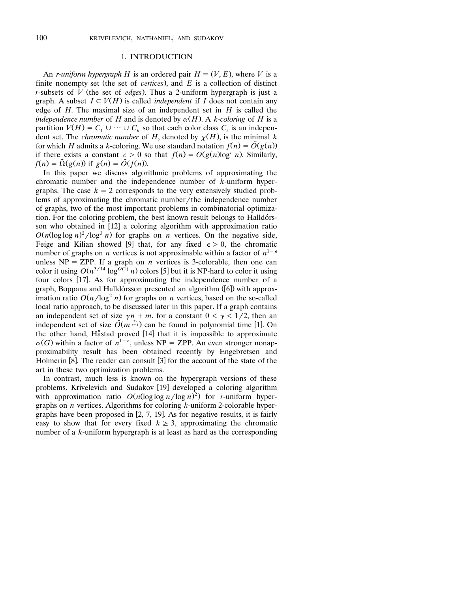#### 1. INTRODUCTION

An *r*-*uniform hypergraph H* is an ordered pair  $H = (V, E)$ , where *V* is a finite nonempty set (the set of *vertices*), and  $E$  is a collection of distinct *r*-subsets of  $V$  (the set of *edges*). Thus a 2-uniform hypergraph is just a graph. A subset  $I \subseteq V(H)$  is called *independent* if *I* does not contain any edge of *H*. The maximal size of an independent set in  $H$  is called the *independence number* of *H* and is denoted by  $\alpha(H)$ . A *k*-*coloring* of *H* is a partition  $V(H) = C_1 \cup \cdots \cup C_k$  so that each color class  $C_i$  is an independent set. The *chromatic number* of *H*, denoted by  $\chi(H)$ , is the minimal *k* for which *H* admits a *k*-coloring. We use standard notation  $f(n) = \tilde{O}(g(n))$ if there exists a constant  $c > 0$  so that  $f(n) = O(g(n)\log^c n)$ . Similarly,  $f(n) = \tilde{\Omega}(g(n))$  if  $g(n) = \tilde{O}(f(n))$ .

In this paper we discuss algorithmic problems of approximating the chromatic number and the independence number of *k*-uniform hypergraphs. The case  $k = 2$  corresponds to the very extensively studied problems of approximating the chromatic number/the independence number of graphs, two of the most important problems in combinatorial optimization. For the coloring problem, the best known result belongs to Halldórsson who obtained in  $[12]$  a coloring algorithm with approximation ratio  $O(n(\log \log n)^2/\log^3 n)$  for graphs on *n* vertices. On the negative side, Feige and Kilian showed [9] that, for any fixed  $\epsilon > 0$ , the chromatic number of graphs on *n* vertices is not approximable within a factor of  $n^{1-\epsilon}$ unless  $NP = ZPP$ . If a graph on *n* vertices is 3-colorable, then one can color it using  $O(n^{3/14} \log^{O(1)} n)$  colors [5] but it is NP-hard to color it using four colors  $[17]$ . As for approximating the independence number of a graph, Boppana and Halldórsson presented an algorithm  $(6)$  with approximation ratio  $O(n/\log^2 n)$  for graphs on *n* vertices, based on the so-called local ratio approach, to be discussed later in this paper. If a graph contains an independent set of size  $\gamma n + m$ , for a constant  $0 < \gamma < 1/2$ , then an independent set of size  $\tilde{O}(m^{\frac{3\gamma}{\gamma+1}})$  can be found in polynomial time [1]. On the other hand, Håstad proved  $[14]$  that it is impossible to approximate  $\alpha(G)$  within a factor of  $n^{1-\epsilon}$ , unless NP = ZPP. An even stronger nonapproximability result has been obtained recently by Engebretsen and Holmerin  $[8]$ . The reader can consult  $[3]$  for the account of the state of the art in these two optimization problems.

In contrast, much less is known on the hypergraph versions of these problems. Krivelevich and Sudakov [19] developed a coloring algorithm with approximation ratio  $O(n(\log \log n / \log n)^2)$  for *r*-uniform hypergraphs on *n* vertices. Algorithms for coloring *k*-uniform 2-colorable hypergraphs have been proposed in  $[2, 7, 19]$ . As for negative results, it is fairly easy to show that for every fixed  $k \geq 3$ , approximating the chromatic number of a *k*-uniform hypergraph is at least as hard as the corresponding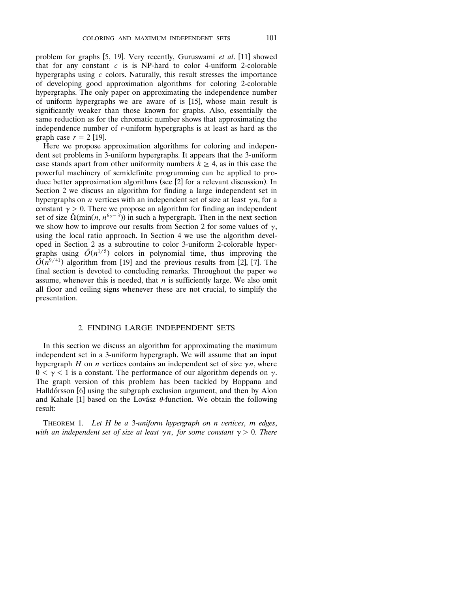problem for graphs [5, 19]. Very recently, Guruswami et al. [11] showed that for any constant *c* is is NP-hard to color 4-uniform 2-colorable hypergraphs using *c* colors. Naturally, this result stresses the importance of developing good approximation algorithms for coloring 2-colorable hypergraphs. The only paper on approximating the independence number of uniform hypergraphs we are aware of is  $[15]$ , whose main result is significantly weaker than those known for graphs. Also, essentially the same reduction as for the chromatic number shows that approximating the independence number of *r*-uniform hypergraphs is at least as hard as the graph case  $r = 2$  [19].

Here we propose approximation algorithms for coloring and independent set problems in 3-uniform hypergraphs. It appears that the 3-uniform case stands apart from other uniformity numbers  $k \geq 4$ , as in this case the powerful machinery of semidefinite programming can be applied to produce better approximation algorithms (see  $[2]$  for a relevant discussion). In Section 2 we discuss an algorithm for finding a large independent set in hypergraphs on *n* vertices with an independent set of size at least  $\gamma n$ , for a constant  $\gamma > 0$ . There we propose an algorithm for finding an independent set of size  $\tilde{\Omega}(\min(n, n^{6\gamma-3}))$  in such a hypergraph. Then in the next section we show how to improve our results from Section 2 for some values of  $\gamma$ , using the local ratio approach. In Section 4 we use the algorithm developed in Section 2 as a subroutine to color 3-uniform 2-colorable hyper graphs using  $\tilde{O}(n^{1/5})$  colors in polynomial time, thus improving the  $\tilde{O}(n^{9/41})$  algorithm from [19] and the previous results from [2], [7]. The final section is devoted to concluding remarks. Throughout the paper we assume, whenever this is needed, that  $n$  is sufficiently large. We also omit all floor and ceiling signs whenever these are not crucial, to simplify the presentation.

# 2. FINDING LARGE INDEPENDENT SETS

In this section we discuss an algorithm for approximating the maximum independent set in a 3-uniform hypergraph. We will assume that an input hypergraph *H* on *n* vertices contains an independent set of size  $\gamma n$ , where  $0 < \gamma < 1$  is a constant. The performance of our algorithm depends on  $\gamma$ . The graph version of this problem has been tackled by Boppana and Halldórsson [6] using the subgraph exclusion argument, and then by Alon and Kahale [1] based on the Lovász  $\theta$ -function. We obtain the following result:

THEOREM 1. Let H be a 3-uniform hypergraph on n vertices, m edges, with an independent set of size at least  $\gamma n,$  for some constant  $\gamma > 0.$  There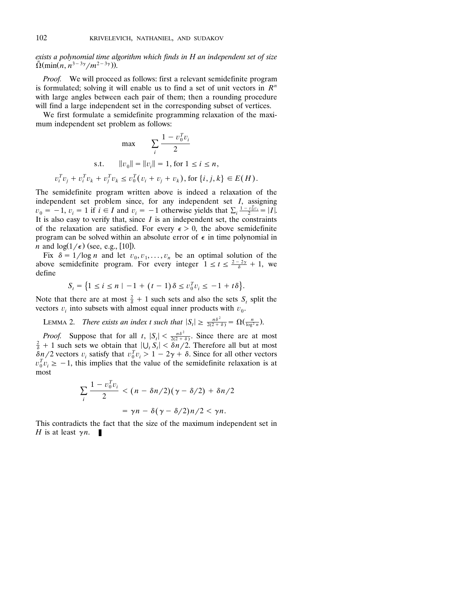*exists a polynomial time algorithm which finds in H an independent set of size*  $\tilde{\Omega}(\min(n, n^{3-3\gamma}/m^{2-3\gamma})).$ 

*Proof.* We will proceed as follows: first a relevant semidefinite program is formulated; solving it will enable us to find a set of unit vectors in  $R<sup>n</sup>$ with large angles between each pair of them; then a rounding procedure will find a large independent set in the corresponding subset of vertices.

We first formulate a semidefinite programming relaxation of the maximum independent set problem as follows:

$$
\max_{i} \sum_{i} \frac{1 - v_0^T v_i}{2}
$$
  
s.t.  $||v_0|| = ||v_i|| = 1$ , for  $1 \le i \le n$ ,  

$$
v_i^T v_j + v_i^T v_k + v_j^T v_k \le v_0^T (v_i + v_j + v_k)
$$
, for  $\{i, j, k\} \in E(H)$ .

The semidefinite program written above is indeed a relaxation of the independent set problem since, for any independent set *I*, assigning  $v_0 = -1$ ,  $v_i = 1$  if  $i \in I$  and  $v_i = -1$  otherwise yields that  $\sum_i \frac{1 - v_0^T v_i}{2} = |I|$ . It is also easy to verify that, since  $I$  is an independent set, the constraints of the relaxation are satisfied. For every  $\epsilon > 0$ , the above semidefinite program can be solved within an absolute error of  $\epsilon$  in time polynomial in *n* and  $log(1/\epsilon)$  (see, e.g., [10]).

Fix  $\delta = 1/\log n$  and let  $v_0, v_1, \ldots, v_n$  be an optimal solution of the above semidefinite program. For every integer  $1 \le t \le \frac{2-2\gamma}{\delta} + 1$ , we define

$$
S_t = \left\{1 \le i \le n \mid -1 + (t-1)\delta \le v_0^T v_i \le -1 + t\delta\right\}.
$$

Note that there are at most  $\frac{2}{\delta} + 1$  such sets and also the sets  $S_t$  split the vectors  $v_i$  into subsets with almost equal inner products with  $v_0$ .

**LEMMA 2.** *There exists an index t such that*  $|S_t| \ge \frac{n\delta^2}{2(2+\delta)} = \Omega(\frac{n}{\log^2 n})$ .

*Proof.* Suppose that for all *t*,  $|S_t| < \frac{n\delta^2}{2(2+\delta)}$ . Since there are at most  $\frac{2}{5} + 1$  such sets we obtain that  $|U_s| < \delta n/2$ . Therefore all but at most  $\frac{2}{\delta}$  + 1 such sets we obtain that  $|\bigcup_{i} S_i| < \frac{\delta n}{2}$ . Therefore all but at most  $\delta n/2$  vectors  $v_i$  satisfy that  $v_0^T v_i > 1 - 2\gamma + \delta$ . Since for all other vectors  $v_0^T v_i \geq -1$ , this implies that the value of the semidefinite relaxation is at most

$$
\sum_{i} \frac{1 - v_0^T v_i}{2} < (n - \delta n/2)(\gamma - \delta/2) + \delta n/2
$$
\n
$$
= \gamma n - \delta(\gamma - \delta/2)n/2 < \gamma n.
$$

This contradicts the fact that the size of the maximum independent set in *H* is at least  $\gamma n$ .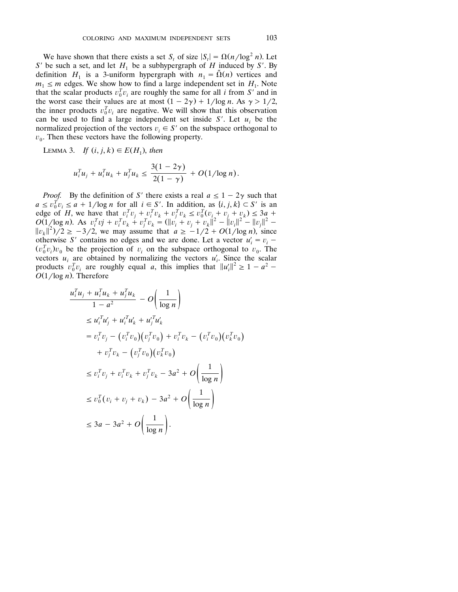We have shown that there exists a set *S<sub>t</sub>* of size  $|S_t| = \Omega(n/\log^2 n)$ . Let *S*<sup> $\prime$ </sup> be such a set, and let  $H_1$  be a subhypergraph of  $H$  induced by *S*<sup> $\prime$ </sup>. By definition  $H_1$  is a 3-uniform hypergraph with  $n_1 = \tilde{\Omega}(n)$  vertices and  $m_1 \le m$  edges. We show how to find a large independent set in  $H_1$ . Note that the scalar products  $v_0^T v_i$  are roughly the same for all *i* from *S'* and in the worst case their values are at most  $(1 - 2\gamma) + 1/\log n$ . As  $\gamma > 1/2$ , the inner products  $v_0^T v_i$  are negative. We will show that this observation can be used to find a large independent set inside  $S'$ . Let  $u_i$  be the normalized projection of the vectors  $v_i \in S'$  on the subspace orthogonal to  $v_0$ . Then these vectors have the following property.

LEMMA 3. *If*  $(i, j, k) \in E(H_1)$ , *then* 

$$
u_i^T u_j + u_i^T u_k + u_j^T u_k \le \frac{3(1-2\gamma)}{2(1-\gamma)} + O(1/\log n).
$$

*Proof.* By the definition of S' there exists a real  $a \le 1 - 2\gamma$  such that  $a \le v_0^T v_i \le a + 1/\log n$  for all  $i \in S'$ . In addition, as  $\{i, j, k\} \subset S'$  is an edge of *H*, we have that  $v_i^T v_j + v_i^T v_k + v_j^T v_k \le v_0^T (v_i + v_j + v_k) \le 3a +$  $O(1/\log n)$ . As  $v_i^T v_j + v_i^T v_k + v_j^T v_k = (\|v_i + v_j + v_k\|^2 - \|v_i\|^2 - \|v_j\|^2 - \|v_j\|^2 ||v_k||^2$ //2  $\ge -3/2$ , we may assume that  $a \ge -1/2 + O(1/\log n)$ , since otherwise *S'* contains no edges and we are done. Let a vector  $u'_i = v_i$  –  $(v_0^T v_i) v_0$  be the projection of  $v_i$  on the subspace orthogonal to  $v_0$ . The vectors  $u_i$  are obtained by normalizing the vectors  $u'_i$ . Since the scalar vectors  $u_i$  are obtained by normalizing the vectors  $u'_i$ . Since the scalar products  $v_0^T v_i$  are roughly equal *a*, this implies that  $||u'_i||^2 \ge 1 - a^2$  –  $O(1/\log n)$ . Therefore

$$
u_i^T u_j + u_i^T u_k + u_j^T u_k - O\left(\frac{1}{\log n}\right)
$$
  
\n
$$
\leq u_i^T u'_j + u_i^T u'_k + u_j^T u'_k
$$
  
\n
$$
= v_i^T v_j - (v_i^T v_0)(v_j^T v_0) + v_i^T v_k - (v_i^T v_0)(v_k^T v_0)
$$
  
\n
$$
+ v_j^T v_k - (v_j^T v_0)(v_k^T v_0)
$$
  
\n
$$
\leq v_i^T v_j + v_i^T v_k + v_j^T v_k - 3a^2 + O\left(\frac{1}{\log n}\right)
$$
  
\n
$$
\leq v_0^T (v_i + v_j + v_k) - 3a^2 + O\left(\frac{1}{\log n}\right)
$$
  
\n
$$
\leq 3a - 3a^2 + O\left(\frac{1}{\log n}\right).
$$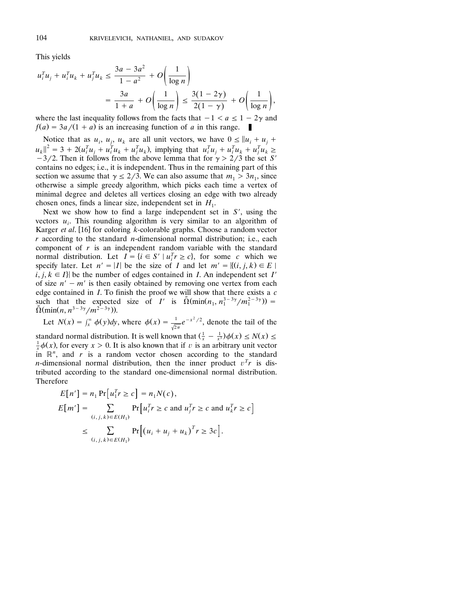This yields

$$
u_i^T u_j + u_i^T u_k + u_j^T u_k \le \frac{3a - 3a^2}{1 - a^2} + O\left(\frac{1}{\log n}\right)
$$
  
= 
$$
\frac{3a}{1 + a} + O\left(\frac{1}{\log n}\right) \le \frac{3(1 - 2\gamma)}{2(1 - \gamma)} + O\left(\frac{1}{\log n}\right),
$$

where the last inequality follows from the facts that  $-1 < a \leq 1 - 2\gamma$  and  $f(a) = 3a/(1 + a)$  is an increasing function of *a* in this range.

Notice that as  $u_i$ ,  $u_j$ ,  $u_k$  are all unit vectors, we have  $0 \le ||u_i + u_j + u_k||$  $||u_k||^2 = 3 + 2(u_i^T u_j + u_i^T u_k + u_j^T u_k)$ , implying that  $u_i^T u_j + u_i^T u_k + u_j^T u_k \ge 0$  $-3/2$ . Then it follows from the above lemma that for  $\gamma > 2/3$  the set *S'* contains no edges; i.e., it is independent. Thus in the remaining part of this section we assume that  $\gamma \leq 2/3$ . We can also assume that  $m_1 > 3n_1$ , since otherwise a simple greedy algorithm, which picks each time a vertex of minimal degree and deletes all vertices closing an edge with two already chosen ones, finds a linear size, independent set in  $H_1$ .

Next we show how to find a large independent set in *S* , using the vectors  $u_i$ . This rounding algorithm is very similar to an algorithm of Karger  $et$  *al*. [16] for coloring  $k$ -colorable graphs. Choose a random vector *r* according to the standard *n*-dimensional normal distribution; i.e., each component of *r* is an independent random variable with the standard normal distribution. Let  $I = \{i \in S : | u_i^T r \ge c\}$ , for some *c* which we specify later. Let  $n' = |I|$  be the size of *I* and let  $m' = \{(i, j, k) \in E | I\}$  $\{i, j, k \in I\}$  be the number of edges contained in *I*. An independent set *I'* of size  $n' - m'$  is then easily obtained by removing one vertex from each edge contained in *I*. To finish the proof we will show that there exists a *c* such that the expected size of *I'* is  $\tilde{\Omega}(\min(n_1, n_1^{3-3\gamma}/m_1^{2-3\gamma}))$  =  $\tilde{\Omega}(\min(n, n^{3-3\gamma}/m^{2-3\gamma})).$ 

Let 
$$
N(x) = \int_x^{\infty} \phi(y)dy
$$
, where  $\phi(x) = \frac{1}{\sqrt{2\pi}}e^{-x^2/2}$ , denote the tail of the  
standard normal distribution. It is well known that  $(\frac{1}{x} - \frac{1}{x^3})\phi(x) \le N(x) \le \frac{1}{x}\phi(x)$ , for every  $x > 0$ . It is also known that if  $v$  is an arbitrary unit vector  
in  $\mathbb{R}^n$ , and  $r$  is a random vector chosen according to the standard  
*n*-dimensional normal distribution, then the inner product  $v^T r$  is dis-  
tributed according to the standard one-dimensional normal distribution.  
Therefore

$$
E[n'] = n_1 \Pr[u_1^T r \ge c] = n_1 N(c),
$$
  
\n
$$
E[m'] = \sum_{(i,j,k) \in E(H_1)} \Pr[u_i^T r \ge c \text{ and } u_j^T r \ge c \text{ and } u_k^T r \ge c]
$$
  
\n
$$
\le \sum_{(i,j,k) \in E(H_1)} \Pr[(u_i + u_j + u_k)^T r \ge 3c].
$$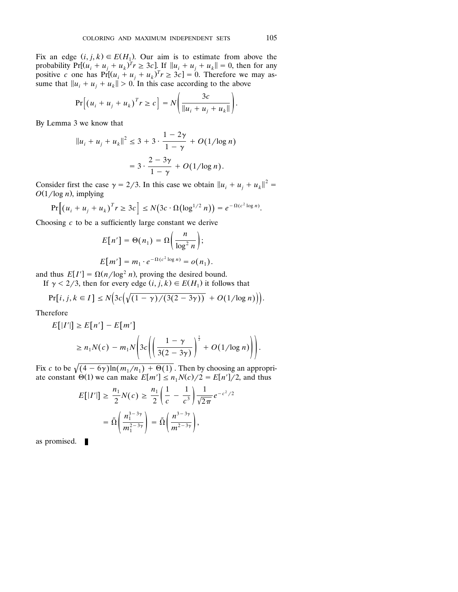Fix an edge  $(i, j, k) \in E(H_1)$ . Our aim is to estimate from above the probability  $Pr[(u_i + u_j + u_k)^T r \ge 3c]$ . If  $||u_i + u_j + u_k|| = 0$ , then for any positive *c* one has  $Pr[(u_i + u_j + u_k)^T r \ge 3c] = 0$ . Therefore we may assume that  $||u_i + u_j + u_k|| > 0$ . In this case according to the above

$$
\Pr\Big[\big(u_i + u_j + u_k\big)^T r \ge c\Big] = N\Bigg(\frac{3c}{\|u_i + u_j + u_k\|}\Bigg).
$$

By Lemma 3 we know that

$$
||u_i + u_j + u_k||^2 \le 3 + 3 \cdot \frac{1 - 2\gamma}{1 - \gamma} + O(1/\log n)
$$
  
= 
$$
3 \cdot \frac{2 - 3\gamma}{1 - \gamma} + O(1/\log n).
$$

Consider first the case  $\gamma = 2/3$ . In this case we obtain  $||u_i + u_j + u_k||^2 =$  $O(1/\log n)$ , implying

$$
Pr[(u_i + u_j + u_k)^T r \ge 3c] \le N(3c \cdot \Omega(\log^{1/2} n)) = e^{-\Omega(c^2 \log n)}.
$$

Choosing *c* to be a sufficiently large constant we derive

$$
E[n'] = \Theta(n_1) = \Omega\left(\frac{n}{\log^2 n}\right);
$$
  

$$
E[m'] = m_1 \cdot e^{-\Omega(c^2 \log n)} = o(n_1).
$$

and thus  $E[I'] = \Omega(n/\log^2 n)$ , proving the desired bound.

If  $\gamma < 2/3$ , then for every edge  $(i, j, k) \in E(H_1)$  it follows that

$$
Pr[i, j, k \in I] \le N\Big(3c\Big(\sqrt{(1-\gamma)/(3(2-3\gamma))} + O(1/\log n)\Big)\Big).
$$

Therefore

$$
E[|I'|] \ge E[n'] - E[m']
$$
  
\n
$$
\ge n_1 N(c) - m_1 N \left( 3c \left( \left( \frac{1 - \gamma}{3(2 - 3\gamma)} \right)^{\frac{1}{2}} + O(1/\log n) \right) \right).
$$

Fix *c* to be  $\sqrt{(4 - 6\gamma) \ln(m_1/n_1) + \Theta(1)}$ . Then by choosing an appropriate constant  $\Theta(1)$  we can make  $E[m'] \leq n_1 N(c)/2 = E[n']/2$ , and thus

$$
E[|I'|] \geq \frac{n_1}{2}N(c) \geq \frac{n_1}{2}\left(\frac{1}{c} - \frac{1}{c^3}\right)\frac{1}{\sqrt{2\pi}}e^{-c^2/2}
$$

$$
= \tilde{\Omega}\left(\frac{n_1^{3-3\gamma}}{m_1^{2-3\gamma}}\right) = \tilde{\Omega}\left(\frac{n^{3-3\gamma}}{m_1^{2-3\gamma}}\right),
$$

as promised.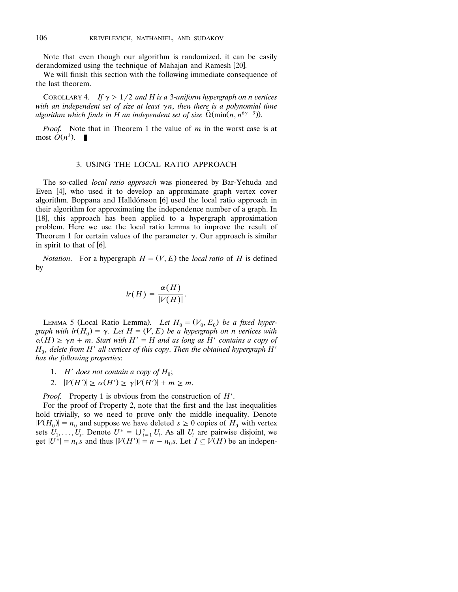Note that even though our algorithm is randomized, it can be easily derandomized using the technique of Mahajan and Ramesh [20].

We will finish this section with the following immediate consequence of the last theorem.

COROLLARY 4. If  $\gamma > 1/2$  and H is a 3-uniform hypergraph on n vertices with an independent set of size at least  $\gamma$ n, then there is a polynomial time algorithm which finds in H an independent set of size  $\tilde{\Omega}(\min(n, n^{\delta \gamma - 3}))$ .

*Proof.* Note that in Theorem 1 the value of *m* in the worst case is at most  $O(n^3)$ .

# 3. USING THE LOCAL RATIO APPROACH

The so-called *local ratio approach* was pioneered by Bar-Yehuda and Even  $[4]$ , who used it to develop an approximate graph vertex cover algorithm. Boppana and Halldórsson [6] used the local ratio approach in their algorithm for approximating the independence number of a graph. In [18], this approach has been applied to a hypergraph approximation problem. Here we use the local ratio lemma to improve the result of Theorem 1 for certain values of the parameter  $\gamma$ . Our approach is similar in spirit to that of  $[6]$ .

*Notation.* For a hypergraph  $H = (V, E)$  the *local ratio* of *H* is defined by

$$
lr(H) = \frac{\alpha(H)}{|V(H)|}.
$$

LEMMA 5 (Local Ratio Lemma). Let  $H_0 = (V_0, E_0)$  be a fixed hyper*graph with*  $lr(H_0) = \gamma$ *. Let*  $H = (V, E)$  *be a hypergraph on n vertices with*  $\alpha(H) \ge \gamma n + m$ . Start with  $H' = H$  and as long as H' contains a copy of  $H_0$ , delete from  $H'$  all vertices of this copy. Then the obtained hypergraph  $H'$ *has the following properties*:

- 1.  $H'$  does not contain a copy of  $H_0$ ;
- 2.  $|V(H')| \ge \alpha(H') \ge \gamma |V(H')| + m \ge m$ .

*Proof.* Property 1 is obvious from the construction of *H* .

For the proof of Property 2, note that the first and the last inequalities hold trivially, so we need to prove only the middle inequality. Denote  $|V(H_0)| = n_0$  and suppose we have deleted  $s \ge 0$  copies of  $H_0$  with vertex sets  $U_1, \ldots, U_s$ . Denote  $U^* = \bigcup_{i=1}^s U_i$ . As all  $U_i$  are pairwise disjoint, we get  $|U^*| = n_0 s$  and thus  $|V(H')| = n - n_0 s$ . Let  $I \subseteq V(H)$  be an indepen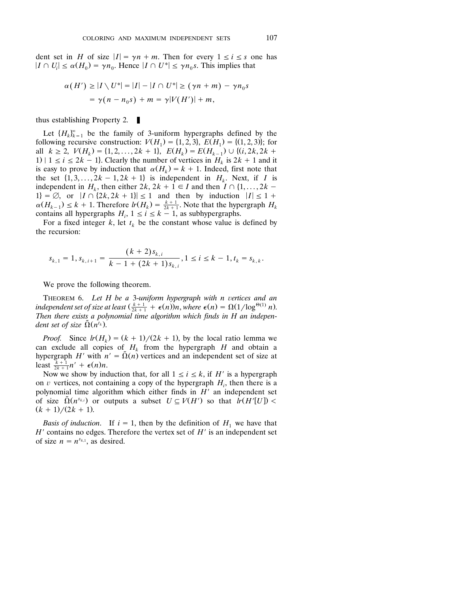dent set in *H* of size  $|I| = \gamma n + m$ . Then for every  $1 \le i \le s$  one has  $|I \cap U_i| \le \alpha(H_0) = \gamma n_0$ . Hence  $|I \cap U^*| \le \gamma n_0 s$ . This implies that

$$
\alpha(H') \ge |I \setminus U^*| = |I| - |I \cap U^*| \ge (\gamma n + m) - \gamma n_0 s
$$
  
=  $\gamma(n - n_0 s) + m = \gamma |V(H')| + m$ ,

thus establishing Property 2.  $\mathcal{L}_{\mathcal{A}}$ 

Let  ${H_k}_{k=1}^{\infty}$  be the family of 3-uniform hypergraphs defined by the following recursive construction:  $V(H_1) = \{1, 2, 3\}, E(H_1) = \{(1, 2, 3)\};$  for all  $k \ge 2$ ,  $V(H_k) = \{1, 2, ..., 2k + 1\}$ ,  $E(H_k) = E(H_{k-1}) \cup \{(i, 2k, 2k + 1)\}$ 1)  $|1 \le i \le 2k - 1$ . Clearly the number of vertices in  $H_k$  is  $2k + 1$  and it is easy to prove by induction that  $\alpha(H_k) = k + 1$ . Indeed, first note that the set  $\{1, 3, ..., 2k - 1, 2k + 1\}$  is independent in  $H_k$ . Next, if *I* is independent in  $H_k$ , then either  $2k$ ,  $2k + 1 \in I$  and then  $I \cap \{1, \ldots, 2k - 1\}$  $1\mathbf{i} = \emptyset$ , or  $|I \cap (2k, 2k + 1)| \leq 1$  and then by induction  $|I| \leq 1 + 1$  $\alpha(H_{k-1}) \leq k+1$ . Therefore  $\ln(H_k) = \frac{k+1}{2k+1}$ . Note that the hypergraph  $H_k$ contains all hypergraphs  $H_i$ ,  $1 \le i \le k - 1$ , as subhypergraphs.

For a fixed integer  $k$ , let  $t_k$  be the constant whose value is defined by the recursion:

$$
s_{k,1} = 1, s_{k,i+1} = \frac{(k+2)s_{k,i}}{k-1+(2k+1)s_{k,i}}, 1 \le i \le k-1, t_k = s_{k,k}.
$$

We prove the following theorem.

THEOREM 6. Let H be a 3-uniform hypergraph with n vertices and an *independent set of size at least*  $(\frac{k+1}{2k+1} + \epsilon(n))n$ , *where*  $\epsilon(n) = \Omega(1/\log^{\Theta(1)} n)$ . *Then there exists a polynomial time algorithm which finds in H an indepen dent set of size*  $\tilde{\Omega}(n^{t_k})$ .

*Proof.* Since  $\ln(H_k) = (k + 1)/(2k + 1)$ , by the local ratio lemma we can exclude all copies of  $H_k$  from the hypergraph *H* and obtain a hypergraph *H'* with  $n' = \tilde{\Omega}(n)$  vertices and an independent set of size at least  $\frac{k+1}{2k+1}n' + \epsilon(n)n$ .

Now we show by induction that, for all  $1 \le i \le k$ , if H' is a hypergraph on  $v$  vertices, not containing a copy of the hypergraph  $H_i$ , then there is a polynomial time algorithm which either finds in *H'* an independent set of size  $\tilde{\Omega}(n^{s_{k,i}})$  or outputs a subset  $U \subseteq V(H')$  so that  $\tilde{I}r(H'[U]) <$  $(k + 1) / (2k + 1)$ .

*Basis of induction.* If  $i = 1$ , then by the definition of  $H_1$  we have that *H*<sup> $\prime$ </sup> contains no edges. Therefore the vertex set of *H*<sup> $\prime$ </sup> is an independent set of size  $n = n^{s_{k,1}}$ , as desired.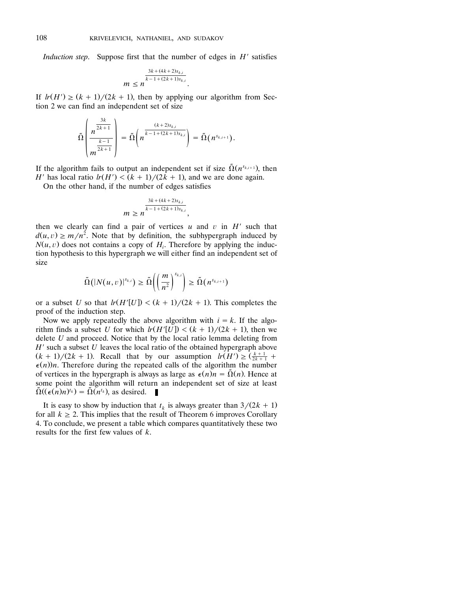*Induction step.* Suppose first that the number of edges in *H*<sup>*'*</sup> satisfies

$$
m \leq n^{\frac{3k + (4k+2)s_{k,i}}{k-1 + (2k+1)s_{k,i}}}
$$

If  $lr(H') \ge (k + 1)/(2k + 1)$ , then by applying our algorithm from Section 2 we can find an independent set of size

$$
\tilde{\Omega}\left(\frac{n^{\frac{3k}{2k+1}}}{m^{\frac{k-1}{2k+1}}}\right) = \tilde{\Omega}\left(n^{\frac{(k+2)s_{k,i}}{k-1+(2k+1)s_{k,i}}}\right) = \tilde{\Omega}(n^{s_{k,i+1}}).
$$

If the algorithm fails to output an independent set if size  $\tilde{\Omega}(n^{s_{k,i+1}})$ , then *H*<sup> $'$ </sup> has local ratio  $lr(H') < (k + 1)/(2k + 1)$ , and we are done again.

On the other hand, if the number of edges satisfies

$$
m \geq n^{\frac{3k + (4k+2)s_{k,i}}{k-1 + (2k+1)s_{k,i}}},
$$

then we clearly can find a pair of vertices  $u$  and  $v$  in  $H'$  such that  $d(u, v) \ge m/n^2$ . Note that by definition, the subhypergraph induced by  $N(u, v)$  does not contains a copy of  $H_i$ . Therefore by applying the induction hypothesis to this hypergraph we will either find an independent set of size

$$
\tilde{\Omega}(|N(u,v)|^{s_{k,i}}) \geq \tilde{\Omega}\left(\left(\frac{m}{n^2}\right)^{s_{k,i}}\right) \geq \tilde{\Omega}(n^{s_{k,i+1}})
$$

or a subset *U* so that  $\ln(H'[U]) < (k + 1)/(2k + 1)$ . This completes the proof of the induction step.

Now we apply repeatedly the above algorithm with  $i = k$ . If the algorithm finds a subset *U* for which  $h(H'[U]) < (k + 1)/(2k + 1)$ , then we delete *U* and proceed. Notice that by the local ratio lemma deleting from *H*' such a subset *U* leaves the local ratio of the obtained hypergraph above  $(k + 1)/(2k + 1)$ . Recall that by our assumption  $\lim_{x \to 2} \left( \frac{k+1}{2k+1} \right)$  $\epsilon(n)$ )*n*. Therefore during the repeated calls of the algorithm the number of vertices in the hypergraph is always as large as  $\epsilon(n)n = \tilde{\Omega}(n)$ . Hence at some point the algorithm will return an independent set of size at least  $\tilde{\Omega}((\epsilon(n)n)^{t_k}) = \tilde{\Omega}(n^{t_k})$ , as desired. - 1

It is easy to show by induction that  $t_k$  is always greater than  $3/(2k + 1)$ for all  $k \ge 2$ . This implies that the result of Theorem 6 improves Corollary 4. To conclude, we present a table which compares quantitatively these two results for the first few values of *k*.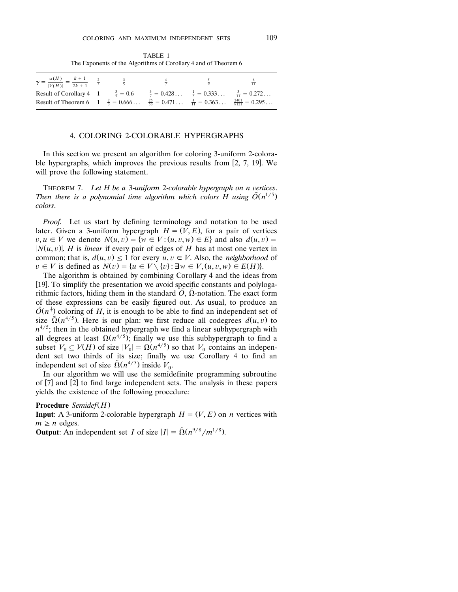TABLE 1 The Exponents of the Algorithms of Corollary 4 and of Theorem 6

| $\gamma = \frac{\alpha(H)}{ V(H) } = \frac{k+1}{2k+1}$ $\frac{2}{3}$                                                  |  | $\frac{4}{7}$ | $rac{5}{2}$ | $\frac{6}{11}$ |
|-----------------------------------------------------------------------------------------------------------------------|--|---------------|-------------|----------------|
| Result of Corollary 4 $1 \frac{3}{5} = 0.6 \frac{3}{7} = 0.428 \frac{1}{7} = 0.333 \frac{3}{11} = 0.272$              |  |               |             |                |
| Result of Theorem 6 $1\frac{2}{3} = 0.666$ $\frac{25}{53} = 0.471$ $\frac{4}{11} = 0.363$ $\frac{2401}{8121} = 0.295$ |  |               |             |                |

### 4. COLORING 2-COLORABLE HYPERGRAPHS

In this section we present an algorithm for coloring 3-uniform 2-colorable hypergraphs, which improves the previous results from [2, 7, 19]. We will prove the following statement.

THEOREM 7. Let H be a 3-uniform 2-colorable hypergraph on n vertices. Then there is a polynomial time algorithm which colors H using  $\tilde{O}(n^{1/5})$ *colors*.

*Proof.* Let us start by defining terminology and notation to be used later. Given a 3-uniform hypergraph  $H = (V, E)$ , for a pair of vertices  $v, u \in V$  we denote  $N(u, v) = \{w \in V : (u, v, w) \in E\}$  and also  $d(u, v) =$  $|N(u, v)|$ . *H* is *linear* if every pair of edges of *H* has at most one vertex in common; that is,  $d(u, v) \leq 1$  for every  $u, v \in V$ . Also, the *neighborhood* of  $v \in V$  is defined as  $N(v) = \{u \in V \setminus \{v\} : \exists w \in V, (u, v, w) \in E(H)\}.$ 

The algorithm is obtained by combining Corollary 4 and the ideas from [19]. To simplify the presentation we avoid specific constants and polylogarithmic factors, hiding them in the standard  $\tilde{O}$ ,  $\tilde{\Omega}$ -notation. The exact form of these expressions can be easily figured out. As usual, to produce an <sup>1</sup>  $\tilde{O}(n^{\frac{1}{5}})$  coloring of *H*, it is enough to be able to find an independent set of size  $\tilde{\Omega}(n^{4/5})$ . Here is our plan: we first reduce all codegrees  $d(u, v)$  to  $n^{4/5}$ ; then in the obtained hypergraph we find a linear subhypergraph with all degrees at least  $\Omega(n^{4/5})$ ; finally we use this subhypergraph to find a subset  $V_0 \subseteq V(H)$  of size  $|V_0| = \Omega(n^{4/5})$  so that  $V_0$  contains an independent set two thirds of its size; finally we use Corollary 4 to find an independent set of size  $\tilde{\Omega}(n^{4/5})$  inside  $V_0$ .

In our algorithm we will use the semidefinite programming subroutine of  $[7]$  and  $[2]$  to find large independent sets. The analysis in these papers yields the existence of the following procedure:

## **Procedure** *Semidef*(*H*)

**Input**: A 3-uniform 2-colorable hypergraph  $H = (V, E)$  on *n* vertices with  $m \geq n$  edges.

**Output:** An independent set *I* of size  $|I| = \tilde{\Omega}(n^{9/8}/m^{1/8})$ .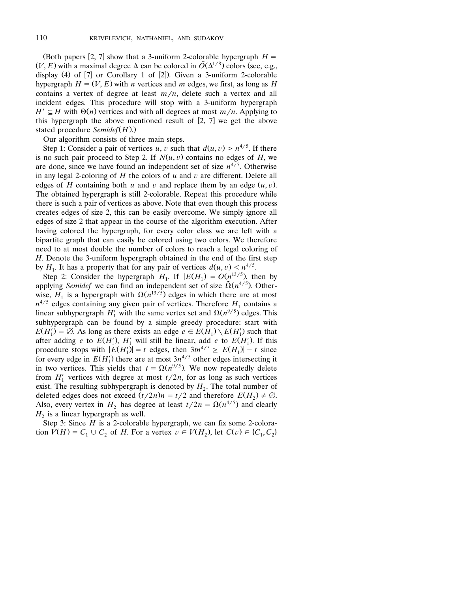(Both papers [2, 7] show that a 3-uniform 2-colorable hypergraph  $H =$  $(V, E)$  with a maximal degree  $\Delta$  can be colored in  $\tilde{O}(\Delta^{1/8})$  colors (see, e.g., display (4) of  $[7]$  or Corollary 1 of  $[2]$ ). Given a 3-uniform 2-colorable hypergraph  $H = (V, E)$  with *n* vertices and *m* edges, we first, as long as *H* contains a vertex of degree at least  $m/n$ , delete such a vertex and all incident edges. This procedure will stop with a 3-uniform hypergraph  $H' \subseteq H$  with  $\Theta(n)$  vertices and with all degrees at most  $m/n$ . Applying to this hypergraph the above mentioned result of  $[2, 7]$  we get the above stated procedure *Semidef* $(H)$ .)

Our algorithm consists of three main steps.

Step 1: Consider a pair of vertices *u*, *v* such that  $d(u, v) \ge n^{4/5}$ . If there is no such pair proceed to Step 2. If  $N(u, v)$  contains no edges of  $H$ , we are done, since we have found an independent set of size  $n^{4/5}$ . Otherwise in any legal 2-coloring of  $H$  the colors of  $u$  and  $v$  are different. Delete all edges of  $H$  containing both  $u$  and  $v$  and replace them by an edge  $(u, v)$ . The obtained hypergraph is still 2-colorable. Repeat this procedure while there is such a pair of vertices as above. Note that even though this process creates edges of size 2, this can be easily overcome. We simply ignore all edges of size 2 that appear in the course of the algorithm execution. After having colored the hypergraph, for every color class we are left with a bipartite graph that can easily be colored using two colors. We therefore need to at most double the number of colors to reach a legal coloring of *H*. Denote the 3-uniform hypergraph obtained in the end of the first step by  $H_1$ . It has a property that for any pair of vertices  $d(u, v) < n^{4/5}$ .

Step 2: Consider the hypergraph  $H_1$ . If  $|E(H_1)| = O(n^{13/5})$ , then by applying *Semidef* we can find an independent set of size  $\tilde{\Omega}(n^{4/5})$ . Otherwise,  $H_1$  is a hypergraph with  $\Omega(n^{13/5})$  edges in which there are at most  $n^{4/5}$  edges containing any given pair of vertices. Therefore *H*<sub>1</sub> contains a linear subhypergraph *H*<sup>1</sup> with the same vertex set and  $\Omega(n^{9/5})$  edges. This subhypergraph can be found by a simple greedy procedure: start with  $E(H_1') = \emptyset$ . As long as there exists an edge  $e \in E(H_1) \setminus E(H_1')$  such that after adding *e* to  $E(H_1)$ ,  $H_1'$  will still be linear, add *e* to  $E(H_1')$ . If this procedure stops with  $|E(H_1)| = t$  edges, then  $3tn^{4/5} \ge |E(H_1)| - t$  since for every edge in  $E(H_1)$  there are at most  $3n^{4/5}$  other edges intersecting it in two vertices. This yields that  $t = \Omega(n^{9/5})$ . We now repeatedly delete from  $H'_1$  vertices with degree at most  $t/2n$ , for as long as such vertices exist. The resulting subhypergraph is denoted by  $H_2$ . The total number of deleted edges does not exceed  $(t/2n)n = t/2$  and therefore  $E(H_2) \neq \emptyset$ . Also, every vertex in  $H_2$  has degree at least  $t/2n = \Omega(n^{4/5})$  and clearly  $H_2$  is a linear hypergraph as well.

Step 3: Since *H* is a 2-colorable hypergraph, we can fix some 2-coloration  $V(H) = C_1 \cup C_2$  of *H*. For a vertex  $v \in V(H_2)$ , let  $C(v) \in \{C_1, C_2\}$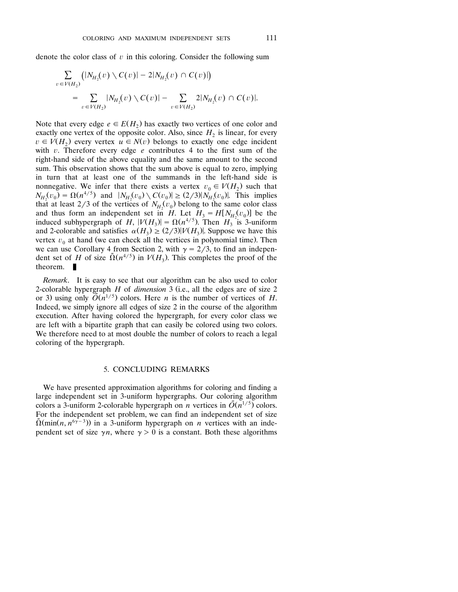denote the color class of  $v$  in this coloring. Consider the following sum

$$
\sum_{v \in V(H_2)} (|N_{H_2}(v) \setminus C(v)| - 2|N_{H_2}(v) \cap C(v)|)
$$
  
= 
$$
\sum_{v \in V(H_2)} |N_{H_2}(v) \setminus C(v)| - \sum_{v \in V(H_2)} 2|N_{H_2}(v) \cap C(v)|.
$$

Note that every edge  $e \in E(H_2)$  has exactly two vertices of one color and exactly one vertex of the opposite color. Also, since  $H_2$  is linear, for every  $v \in V(H_2)$  every vertex  $u \in N(v)$  belongs to exactly one edge incident with  $v$ . Therefore every edge  $e$  contributes 4 to the first sum of the right-hand side of the above equality and the same amount to the second sum. This observation shows that the sum above is equal to zero, implying in turn that at least one of the summands in the left-hand side is nonnegative. We infer that there exists a vertex  $v_0 \in V(H_2)$  such that  $N_{H_2}(v_0) = \Omega(n^{4/5})$  and  $|N_{H_2}(v_0) \setminus C(v_0)| \ge (2/3)|N_{H_2}(v_0)|$ . This implies that at least 2/3 of the vertices of  $N_{H_2}(v_0)$  belong to the same color class and thus form an independent set in *H*. Let  $H_3 = H[N_{H_2}(v_0)]$  be the induced subhypergraph of *H*,  $|V(H_3)| = \Omega(n^{4/5})$ . Then *H*<sub>3</sub> is 3-uniform and 2-colorable and satisfies  $\alpha(H_3) \geq (2/3)|V(H_3)|$ . Suppose we have this vertex  $v_0$  at hand (we can check all the vertices in polynomial time). Then we can use Corollary 4 from Section 2, with  $\gamma = 2/3$ , to find an independent set of *H* of size  $\tilde{\Omega}(n^{4/5})$  in  $V(H_3)$ . This completes the proof of the theorem.  $\blacksquare$ 

*Remark*. It is easy to see that our algorithm can be also used to color 2-colorable hypergraph  $H$  of *dimension*  $\overline{3}$  (i.e., all the edges are of size 2 or 3) using only  $\tilde{O}(n^{1/5})$  colors. Here *n* is the number of vertices of *H*. Indeed, we simply ignore all edges of size 2 in the course of the algorithm execution. After having colored the hypergraph, for every color class we are left with a bipartite graph that can easily be colored using two colors. We therefore need to at most double the number of colors to reach a legal coloring of the hypergraph.

#### 5. CONCLUDING REMARKS

We have presented approximation algorithms for coloring and finding a large independent set in 3-uniform hypergraphs. Our coloring algorithm colors a 3-uniform 2-colorable hypergraph on *n* vertices in  $\tilde{O}(n^{1/5})$  colors. For the independent set problem, we can find an independent set of size  $\tilde{\Omega}(\min(n, n^{6\gamma-3}))$  in a 3-uniform hypergraph on *n* vertices with an independent set of size  $\gamma n$ , where  $\gamma > 0$  is a constant. Both these algorithms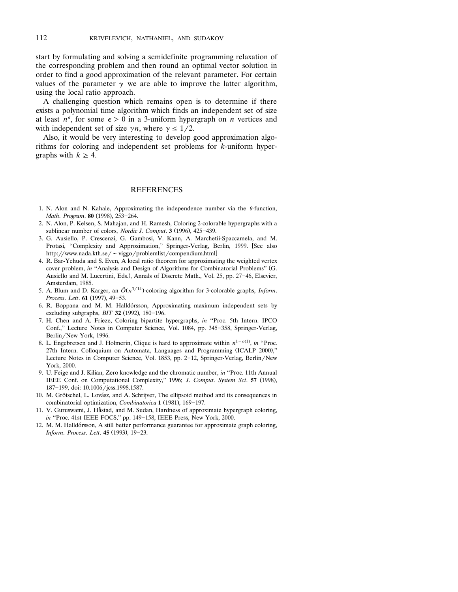start by formulating and solving a semidefinite programming relaxation of the corresponding problem and then round an optimal vector solution in order to find a good approximation of the relevant parameter. For certain values of the parameter  $\gamma$  we are able to improve the latter algorithm, using the local ratio approach.

A challenging question which remains open is to determine if there exists a polynomial time algorithm which finds an independent set of size at least  $n^{\epsilon}$ , for some  $\epsilon > 0$  in a 3-uniform hypergraph on *n* vertices and with independent set of size  $\gamma n$ , where  $\gamma \leq 1/2$ .

Also, it would be very interesting to develop good approximation algorithms for coloring and independent set problems for *k*-uniform hypergraphs with  $k \geq 4$ .

#### **REFERENCES**

- 1. N. Alon and N. Kahale, Approximating the independence number via the  $\theta$ -function, *Math. Program.* 80 (1998), 253-264.
- 2. N. Alon, P. Kelsen, S. Mahajan, and H. Ramesh, Coloring 2-colorable hypergraphs with a sublinear number of colors, *Nordic J. Comput*. 3 (1996), 425-439.
- 3. G. Ausiello, P. Crescenzi, G. Gambosi, V. Kann, A. Marchetii-Spaccamela, and M. Protasi, "Complexity and Approximation," Springer-Verlag, Berlin, 1999. [See also http://www.nada.kth.se/~ viggo/problemlist/compendium.html]
- 4. R. Bar-Yehuda and S. Even, A local ratio theorem for approximating the weighted vertex cover problem, *in* "Analysis and Design of Algorithms for Combinatorial Problems" (G. Ausiello and M. Lucertini, Eds.), Annals of Discrete Math., Vol. 25, pp. 27-46, Elsevier, Amsterdam, 1985.
- 5. A. Blum and D. Karger, an  $\tilde{O}(n^{3/14})$ -coloring algorithm for 3-colorable graphs, *Inform*. *Process. Lett.* **61** (1997), 49-53.
- 6. R. Boppana and M. M. Halldórsson, Approximating maximum independent sets by excluding subgraphs, *BIT* 32 (1992), 180-196.
- 7. H. Chen and A. Frieze, Coloring bipartite hypergraphs, *in* ''Proc. 5th Intern. IPCO Conf.," Lecture Notes in Computer Science, Vol. 1084, pp. 345-358, Springer-Verlag, Berlin/New York, 1996.
- 8. L. Engebretsen and J. Holmerin, Clique is hard to approximate within  $n^{1-o(1)}$ , *in* "Proc. 27th Intern. Colloquium on Automata, Languages and Programming (ICALP 2000)," Lecture Notes in Computer Science, Vol. 1853, pp. 2-12, Springer-Verlag, Berlin/New York, 2000.
- 9. U. Feige and J. Kilian, Zero knowledge and the chromatic number, *in* ''Proc. 11th Annual IEEE Conf. on Computational Complexity," 1996; *J. Comput. System Sci.* 57 (1998), 187-199, doi: 10.1006/jcss.1998.1587.
- 10. M. Grötschel, L. Lovász, and A. Schrijver, The ellipsoid method and its consequences in combinatorial optimization, *Combinatorica* 1 (1981), 169-197.
- 11. V. Guruswami, J. Håstad, and M. Sudan, Hardness of approximate hypergraph coloring, *in* "Proc. 41st IEEE FOCS," pp. 149-158, IEEE Press, New York, 2000.
- 12. M. M. Halldórsson, A still better performance guarantee for approximate graph coloring, *Inform. Process. Lett.* **45** (1993), 19-23.